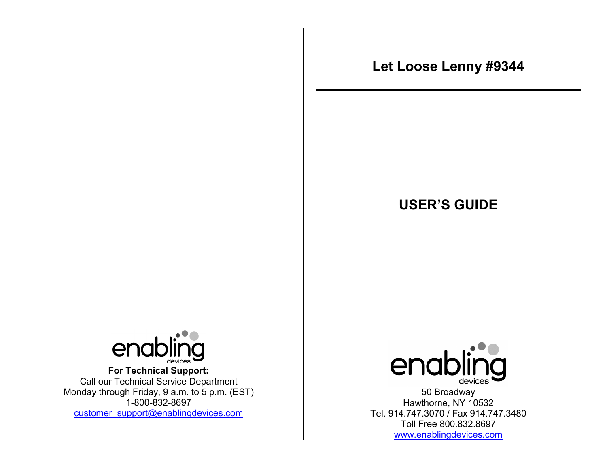# **Let Loose Lenny #9344**

## **USER'S GUIDE**



**For Technical Support:**  Call our Technical Service Department Monday through Friday, 9 a.m. to 5 p.m. (EST) 1-800-832-8697 customer\_support@enablingdevices.com



50 Broadway Hawthorne, NY 10532 Tel. 914.747.3070 / Fax 914.747.3480 Toll Free 800.832.8697 www.enablingdevices.com